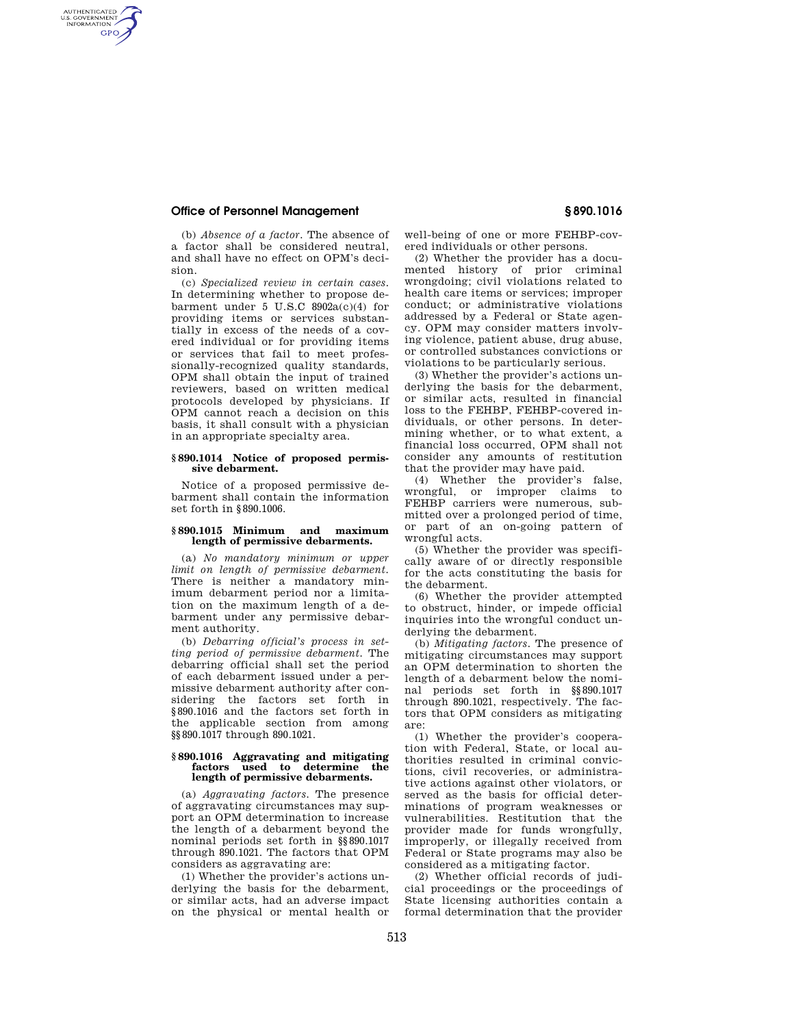# **Office of Personnel Management § 890.1016**

AUTHENTICATED<br>U.S. GOVERNMENT<br>INFORMATION **GPO** 

(b) *Absence of a factor.* The absence of a factor shall be considered neutral, and shall have no effect on OPM's decision.

(c) *Specialized review in certain cases.*  In determining whether to propose debarment under 5 U.S.C  $8902a(c)(4)$  for providing items or services substantially in excess of the needs of a covered individual or for providing items or services that fail to meet professionally-recognized quality standards, OPM shall obtain the input of trained reviewers, based on written medical protocols developed by physicians. If OPM cannot reach a decision on this basis, it shall consult with a physician in an appropriate specialty area.

## **§ 890.1014 Notice of proposed permissive debarment.**

Notice of a proposed permissive debarment shall contain the information set forth in §890.1006.

### **§ 890.1015 Minimum and maximum length of permissive debarments.**

(a) *No mandatory minimum or upper limit on length of permissive debarment.*  There is neither a mandatory minimum debarment period nor a limitation on the maximum length of a debarment under any permissive debarment authority.

(b) *Debarring official's process in setting period of permissive debarment.* The debarring official shall set the period of each debarment issued under a permissive debarment authority after considering the factors set forth in §890.1016 and the factors set forth in the applicable section from among §§890.1017 through 890.1021.

#### **§ 890.1016 Aggravating and mitigating factors used to determine the length of permissive debarments.**

(a) *Aggravating factors.* The presence of aggravating circumstances may support an OPM determination to increase the length of a debarment beyond the nominal periods set forth in §§890.1017 through 890.1021. The factors that OPM considers as aggravating are:

(1) Whether the provider's actions underlying the basis for the debarment. or similar acts, had an adverse impact on the physical or mental health or

well-being of one or more FEHBP-covered individuals or other persons.

(2) Whether the provider has a documented history of prior criminal wrongdoing; civil violations related to health care items or services; improper conduct; or administrative violations addressed by a Federal or State agency. OPM may consider matters involving violence, patient abuse, drug abuse, or controlled substances convictions or violations to be particularly serious.

(3) Whether the provider's actions underlying the basis for the debarment, or similar acts, resulted in financial loss to the FEHBP, FEHBP-covered individuals, or other persons. In determining whether, or to what extent, a financial loss occurred, OPM shall not consider any amounts of restitution that the provider may have paid.

(4) Whether the provider's false, wrongful, or improper claims to FEHBP carriers were numerous, submitted over a prolonged period of time, or part of an on-going pattern of wrongful acts.

(5) Whether the provider was specifically aware of or directly responsible for the acts constituting the basis for the debarment.

(6) Whether the provider attempted to obstruct, hinder, or impede official inquiries into the wrongful conduct underlying the debarment.

(b) *Mitigating factors.* The presence of mitigating circumstances may support an OPM determination to shorten the length of a debarment below the nominal periods set forth in §§890.1017 through 890.1021, respectively. The factors that OPM considers as mitigating are:

(1) Whether the provider's cooperation with Federal, State, or local authorities resulted in criminal convictions, civil recoveries, or administrative actions against other violators, or served as the basis for official determinations of program weaknesses or vulnerabilities. Restitution that the provider made for funds wrongfully, improperly, or illegally received from Federal or State programs may also be considered as a mitigating factor.

(2) Whether official records of judicial proceedings or the proceedings of State licensing authorities contain a formal determination that the provider